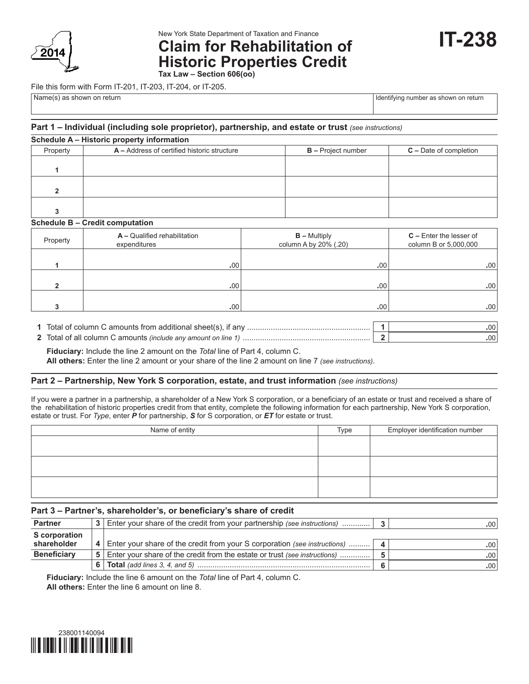

New York State Department of Taxation and Finance

# **Claim for Rehabilitation of Historic Properties Credit Tax Law – Section 606(oo)**

File this form with Form IT-201, IT-203, IT-204, or IT-205.

Name(s) as shown on return in the state of the state of the state of the state of the state of the state of the state of the state of the state of the state of the state of the state of the state of the state of the state

#### **Part 1 – Individual (including sole proprietor), partnership, and estate or trust** *(see instructions)*

| Schedule A – Historic property information |                                             |                           |                          |  |  |  |  |  |
|--------------------------------------------|---------------------------------------------|---------------------------|--------------------------|--|--|--|--|--|
| Property                                   | A – Address of certified historic structure | <b>B</b> – Project number | $C$ – Date of completion |  |  |  |  |  |
|                                            |                                             |                           |                          |  |  |  |  |  |
|                                            |                                             |                           |                          |  |  |  |  |  |
|                                            |                                             |                           |                          |  |  |  |  |  |
|                                            |                                             |                           |                          |  |  |  |  |  |
|                                            |                                             |                           |                          |  |  |  |  |  |
|                                            |                                             |                           |                          |  |  |  |  |  |

#### **Schedule B – Credit computation**

| Property | A - Qualified rehabilitation<br>expenditures | $B -$ Multiply<br>column A by 20% (.20) | $C$ – Enter the lesser of<br>column B or 5,000,000 |  |
|----------|----------------------------------------------|-----------------------------------------|----------------------------------------------------|--|
|          | .00                                          | .00 <sup>1</sup>                        | .00                                                |  |
|          |                                              |                                         |                                                    |  |
| ົ        | .00                                          | .00 <sup>1</sup>                        | .00                                                |  |
|          |                                              |                                         |                                                    |  |
| ໍາ       | .00                                          | .00 <sup>1</sup>                        | .00                                                |  |

| 1 Total of column C amounts from additional sheet(s), if any.         | .00' |
|-----------------------------------------------------------------------|------|
| 2 Total of all column C amounts <i>(include any amount on line 1)</i> | :00  |

 **Fiduciary:** Include the line 2 amount on the *Total* line of Part 4, column C.  **All others:** Enter the line 2 amount or your share of the line 2 amount on line 7 *(see instructions)*.

## **Part 2 – Partnership, New York S corporation, estate, and trust information** *(see instructions)*

If you were a partner in a partnership, a shareholder of a New York S corporation, or a beneficiary of an estate or trust and received a share of the rehabilitation of historic properties credit from that entity, complete the following information for each partnership, New York S corporation, estate or trust. For *Type*, enter *P* for partnership, *S* for S corporation, or *ET* for estate or trust.

| Name of entity | Type | Employer identification number |
|----------------|------|--------------------------------|
|                |      |                                |
|                |      |                                |
|                |      |                                |
|                |      |                                |
|                |      |                                |
|                |      |                                |

## **Part 3 – Partner's, shareholder's, or beneficiary's share of credit**

| <b>Partner</b>       |   | Enter your share of the credit from your partnership (see instructions)    | $.00^{\circ}$ |
|----------------------|---|----------------------------------------------------------------------------|---------------|
| <b>S</b> corporation |   |                                                                            |               |
| shareholder          |   | Enter your share of the credit from your S corporation (see instructions)  | $.00^{\circ}$ |
| <b>Beneficiary</b>   | 5 | Enter your share of the credit from the estate or trust (see instructions) | .00'          |
|                      |   |                                                                            | .00           |

 **Fiduciary:** Include the line 6 amount on the *Total* line of Part 4, column C.  **All others:** Enter the line 6 amount on line 8.